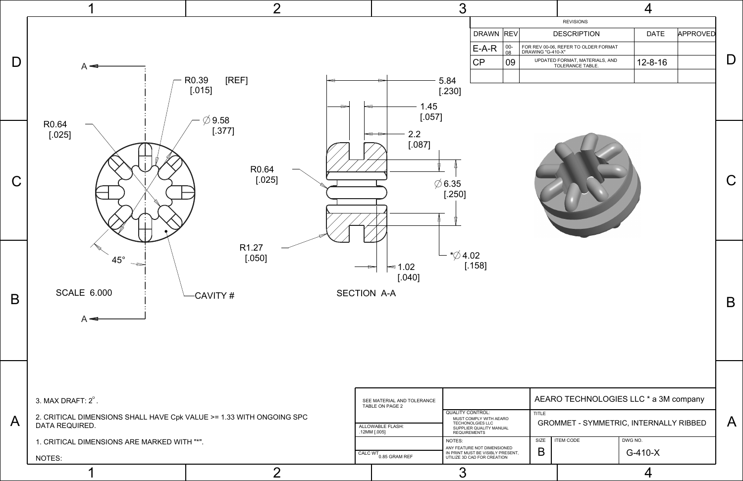| <b>REVISIONS</b>                                       |               |                 |
|--------------------------------------------------------|---------------|-----------------|
| <b>DESCRIPTION</b>                                     | <b>DATE</b>   | <b>APPROVED</b> |
| 0-06, REFER TO OLDER FORMAT<br>"G-410-X"               |               |                 |
| ATED FORMAT, MATERIALS, AND<br><b>TOLERANCE TABLE.</b> | $12 - 8 - 16$ |                 |
|                                                        |               |                 |

A

B

C

D



## AEARO TECHNOLOGIES LLC \* a 3M company

## GROMMET - SYMMETRIC, INTERNALLY RIBBED

| ITEM CODE |  |
|-----------|--|
|           |  |